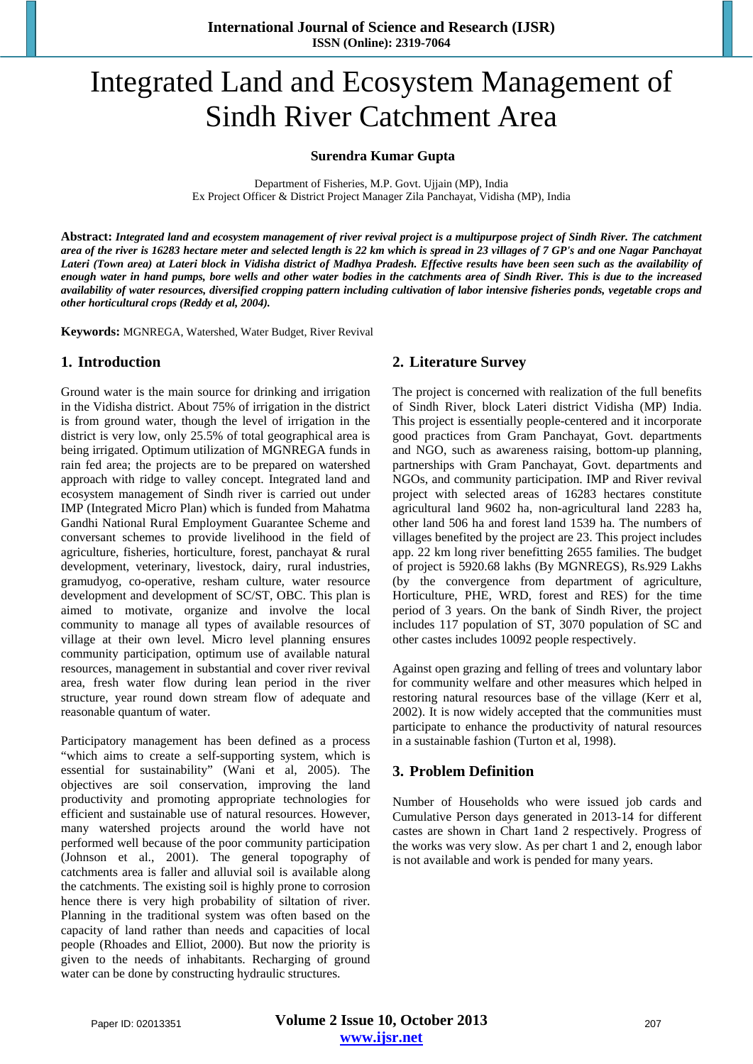# Integrated Land and Ecosystem Management of Sindh River Catchment Area

#### **Surendra Kumar Gupta**

Department of Fisheries, M.P. Govt. Ujjain (MP), India Ex Project Officer & District Project Manager Zila Panchayat, Vidisha (MP), India

**Abstract:** *Integrated land and ecosystem management of river revival project is a multipurpose project of Sindh River. The catchment area of the river is 16283 hectare meter and selected length is 22 km which is spread in 23 villages of 7 GP's and one Nagar Panchayat Lateri (Town area) at Lateri block in Vidisha district of Madhya Pradesh. Effective results have been seen such as the availability of enough water in hand pumps, bore wells and other water bodies in the catchments area of Sindh River. This is due to the increased availability of water resources, diversified cropping pattern including cultivation of labor intensive fisheries ponds, vegetable crops and other horticultural crops (Reddy et al, 2004).* 

**Keywords:** MGNREGA, Watershed, Water Budget, River Revival

## **1. Introduction**

Ground water is the main source for drinking and irrigation in the Vidisha district. About 75% of irrigation in the district is from ground water, though the level of irrigation in the district is very low, only 25.5% of total geographical area is being irrigated. Optimum utilization of MGNREGA funds in rain fed area; the projects are to be prepared on watershed approach with ridge to valley concept. Integrated land and ecosystem management of Sindh river is carried out under IMP (Integrated Micro Plan) which is funded from Mahatma Gandhi National Rural Employment Guarantee Scheme and conversant schemes to provide livelihood in the field of agriculture, fisheries, horticulture, forest, panchayat & rural development, veterinary, livestock, dairy, rural industries, gramudyog, co-operative, resham culture, water resource development and development of SC/ST, OBC. This plan is aimed to motivate, organize and involve the local community to manage all types of available resources of village at their own level. Micro level planning ensures community participation, optimum use of available natural resources, management in substantial and cover river revival area, fresh water flow during lean period in the river structure, year round down stream flow of adequate and reasonable quantum of water.

Participatory management has been defined as a process "which aims to create a self-supporting system, which is essential for sustainability" (Wani et al, 2005). The objectives are soil conservation, improving the land productivity and promoting appropriate technologies for efficient and sustainable use of natural resources. However, many watershed projects around the world have not performed well because of the poor community participation (Johnson et al., 2001). The general topography of catchments area is faller and alluvial soil is available along the catchments. The existing soil is highly prone to corrosion hence there is very high probability of siltation of river. Planning in the traditional system was often based on the capacity of land rather than needs and capacities of local people (Rhoades and Elliot, 2000). But now the priority is given to the needs of inhabitants. Recharging of ground water can be done by constructing hydraulic structures.

## **2. Literature Survey**

The project is concerned with realization of the full benefits of Sindh River, block Lateri district Vidisha (MP) India. This project is essentially people-centered and it incorporate good practices from Gram Panchayat, Govt. departments and NGO, such as awareness raising, bottom-up planning, partnerships with Gram Panchayat, Govt. departments and NGOs, and community participation. IMP and River revival project with selected areas of 16283 hectares constitute agricultural land 9602 ha, non-agricultural land 2283 ha, other land 506 ha and forest land 1539 ha. The numbers of villages benefited by the project are 23. This project includes app. 22 km long river benefitting 2655 families. The budget of project is 5920.68 lakhs (By MGNREGS), Rs.929 Lakhs (by the convergence from department of agriculture, Horticulture, PHE, WRD, forest and RES) for the time period of 3 years. On the bank of Sindh River, the project includes 117 population of ST, 3070 population of SC and other castes includes 10092 people respectively.

Against open grazing and felling of trees and voluntary labor for community welfare and other measures which helped in restoring natural resources base of the village (Kerr et al, 2002). It is now widely accepted that the communities must participate to enhance the productivity of natural resources in a sustainable fashion (Turton et al, 1998).

## **3. Problem Definition**

Number of Households who were issued job cards and Cumulative Person days generated in 2013-14 for different castes are shown in Chart 1and 2 respectively. Progress of the works was very slow. As per chart 1 and 2, enough labor is not available and work is pended for many years.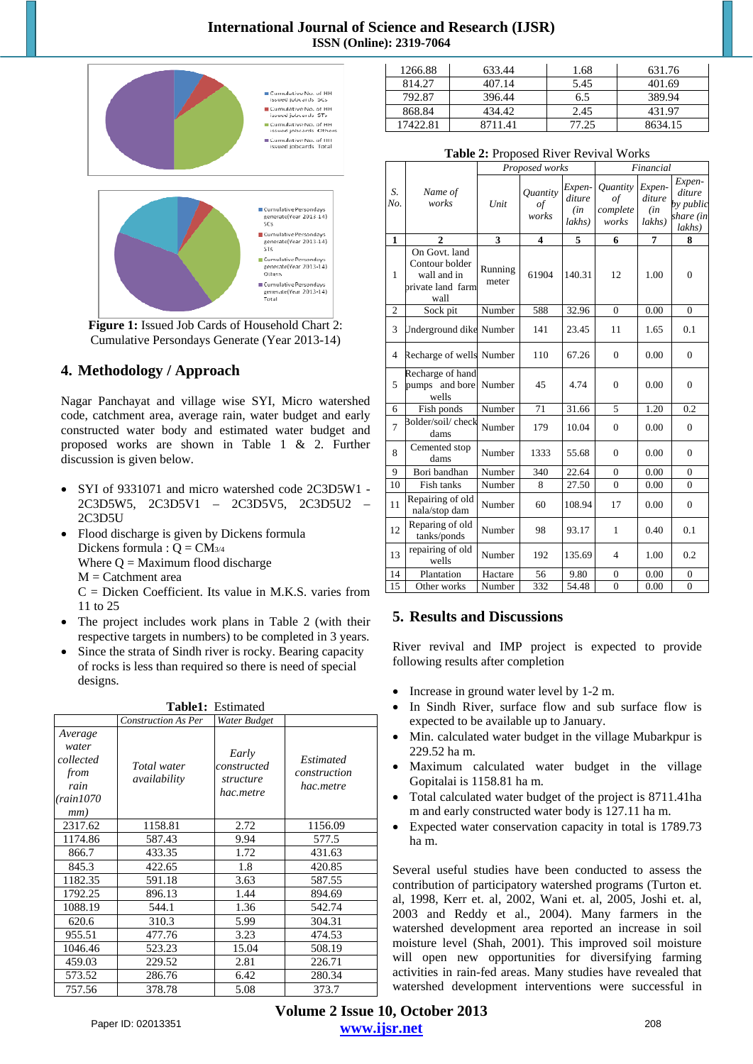

Cumulative Persondays Generate (Year 2013-14)

# **4. Methodology / Approach**

Nagar Panchayat and village wise SYI, Micro watershed code, catchment area, average rain, water budget and early constructed water body and estimated water budget and proposed works are shown in Table 1 & 2. Further discussion is given below.

- SYI of 9331071 and micro watershed code 2C3D5W1 2C3D5W5, 2C3D5V1 – 2C3D5V5, 2C3D5U2 – 2C3D5U
- Flood discharge is given by Dickens formula Dickens formula :  $\dot{Q} = CM_{3/4}$ Where  $Q =$  Maximum flood discharge  $M =$ Catchment area  $C =$  Dicken Coefficient. Its value in M.K.S. varies from
- 11 to 25 The project includes work plans in Table 2 (with their respective targets in numbers) to be completed in 3 years.
- Since the strata of Sindh river is rocky. Bearing capacity of rocks is less than required so there is need of special designs.

| <b>Table1:</b> Estimated                                          |                             |                                                |                                               |  |  |  |  |  |  |
|-------------------------------------------------------------------|-----------------------------|------------------------------------------------|-----------------------------------------------|--|--|--|--|--|--|
|                                                                   | <b>Construction As Per</b>  | Water Budget                                   |                                               |  |  |  |  |  |  |
| Average<br>water<br>collected<br>from<br>rain<br>(rain1070<br>mm) | Total water<br>availability | Early<br>constructed<br>structure<br>hac.metre | <i>Estimated</i><br>construction<br>hac.metre |  |  |  |  |  |  |
| 2317.62                                                           | 1158.81                     | 2.72                                           | 1156.09                                       |  |  |  |  |  |  |
| 1174.86                                                           | 587.43                      | 9.94                                           | 577.5                                         |  |  |  |  |  |  |
| 866.7                                                             | 433.35                      | 1.72                                           | 431.63                                        |  |  |  |  |  |  |
| 845.3                                                             | 422.65                      | 1.8                                            | 420.85                                        |  |  |  |  |  |  |
| 1182.35                                                           | 591.18                      | 3.63                                           | 587.55                                        |  |  |  |  |  |  |
| 1792.25                                                           | 896.13                      | 1.44                                           | 894.69                                        |  |  |  |  |  |  |
| 1088.19                                                           | 544.1                       | 1.36                                           | 542.74                                        |  |  |  |  |  |  |
| 620.6                                                             | 310.3                       | 5.99                                           | 304.31                                        |  |  |  |  |  |  |
| 955.51                                                            | 477.76                      | 3.23                                           | 474.53                                        |  |  |  |  |  |  |
| 1046.46                                                           | 523.23                      | 15.04                                          | 508.19                                        |  |  |  |  |  |  |
| 459.03                                                            | 229.52                      | 2.81                                           | 226.71                                        |  |  |  |  |  |  |
| 573.52                                                            | 286.76                      | 6.42                                           | 280.34                                        |  |  |  |  |  |  |
| 757.56                                                            | 378.78                      | 5.08                                           | 373.7                                         |  |  |  |  |  |  |

| 1266.88  | 633.44  | 1.68  | 631.76  |
|----------|---------|-------|---------|
| 814.27   | 407.14  | 5.45  | 401.69  |
| 792.87   | 396.44  | 6.5   | 389.94  |
| 868.84   | 434.42  | 2.45  | 431.97  |
| 17422.81 | 8711.41 | 77.25 | 8634.15 |

**Table 2:** Proposed River Revival Works

|                |                                                                             | Proposed works   |                                       |                                   | Financial                                         |                                   |                                                      |
|----------------|-----------------------------------------------------------------------------|------------------|---------------------------------------|-----------------------------------|---------------------------------------------------|-----------------------------------|------------------------------------------------------|
| S.<br>No.      | Name of<br>works                                                            | Unit             | <i><b>Ouantity</b></i><br>of<br>works | Expen-<br>diture<br>(in<br>lakhs) | <i><b>Ouantity</b></i><br>οf<br>complete<br>works | Expen-<br>diture<br>(in<br>lakhs) | Expen-<br>diture<br>by public<br>share (in<br>lakhs) |
| $\mathbf{1}$   | $\overline{2}$                                                              | 3                | 4                                     | 5                                 | 6                                                 | 7                                 | 8                                                    |
| 1              | On Govt. land<br>Contour bolder<br>wall and in<br>private land farm<br>wall | Running<br>meter | 61904                                 | 140.31                            | 12                                                | 1.00                              | $\overline{0}$                                       |
| $\overline{2}$ | Sock pit                                                                    | Number           | 588                                   | 32.96                             | $\theta$                                          | 0.00                              | $\theta$                                             |
| 3              | Underground dike                                                            | Number           | 141                                   | 23.45                             | 11                                                | 1.65                              | 0.1                                                  |
| 4              | Recharge of wells                                                           | Number           | 110                                   | 67.26                             | $\mathbf{0}$                                      | 0.00                              | $\mathbf{0}$                                         |
| 5              | Recharge of hand<br>pumps and bore<br>wells                                 | Number           | 45                                    | 4.74                              | $\theta$                                          | 0.00                              | $\overline{0}$                                       |
| 6              | Fish ponds                                                                  | Number           | 71                                    | 31.66                             | 5                                                 | 1.20                              | 0.2                                                  |
| $\overline{7}$ | Bolder/soil/check<br>dams                                                   | Number           | 179                                   | 10.04                             | $\overline{0}$                                    | 0.00                              | $\mathbf{0}$                                         |
| 8              | Cemented stop<br>dams                                                       | Number           | 1333                                  | 55.68                             | $\mathbf{0}$                                      | 0.00                              | $\mathbf{0}$                                         |
| 9              | Bori bandhan                                                                | Number           | 340                                   | 22.64                             | $\theta$                                          | 0.00                              | $\theta$                                             |
| 10             | Fish tanks                                                                  | Number           | 8                                     | 27.50                             | $\theta$                                          | 0.00                              | $\theta$                                             |
| 11             | Repairing of old<br>nala/stop dam                                           | Number           | 60                                    | 108.94                            | 17                                                | 0.00                              | $\mathbf{0}$                                         |
| 12             | Reparing of old<br>tanks/ponds                                              | Number           | 98                                    | 93.17                             | 1                                                 | 0.40                              | 0.1                                                  |
| 13             | repairing of old<br>wells                                                   | Number           | 192                                   | 135.69                            | $\overline{4}$                                    | 1.00                              | 0.2                                                  |
| 14             | Plantation                                                                  | Hactare          | 56                                    | 9.80                              | $\mathbf{0}$                                      | 0.00                              | $\mathbf{0}$                                         |
| 15             | Other works                                                                 | Number           | 332                                   | 54.48                             | $\theta$                                          | 0.00                              | $\theta$                                             |

# **5. Results and Discussions**

River revival and IMP project is expected to provide following results after completion

- Increase in ground water level by 1-2 m.
- In Sindh River, surface flow and sub surface flow is expected to be available up to January.
- Min. calculated water budget in the village Mubarkpur is 229.52 ha m.
- Maximum calculated water budget in the village Gopitalai is 1158.81 ha m.
- Total calculated water budget of the project is 8711.41ha m and early constructed water body is 127.11 ha m.
- Expected water conservation capacity in total is 1789.73 ha m.

Several useful studies have been conducted to assess the contribution of participatory watershed programs (Turton et. al, 1998, Kerr et. al, 2002, Wani et. al, 2005, Joshi et. al, 2003 and Reddy et al., 2004). Many farmers in the watershed development area reported an increase in soil moisture level (Shah, 2001). This improved soil moisture will open new opportunities for diversifying farming activities in rain-fed areas. Many studies have revealed that watershed development interventions were successful in